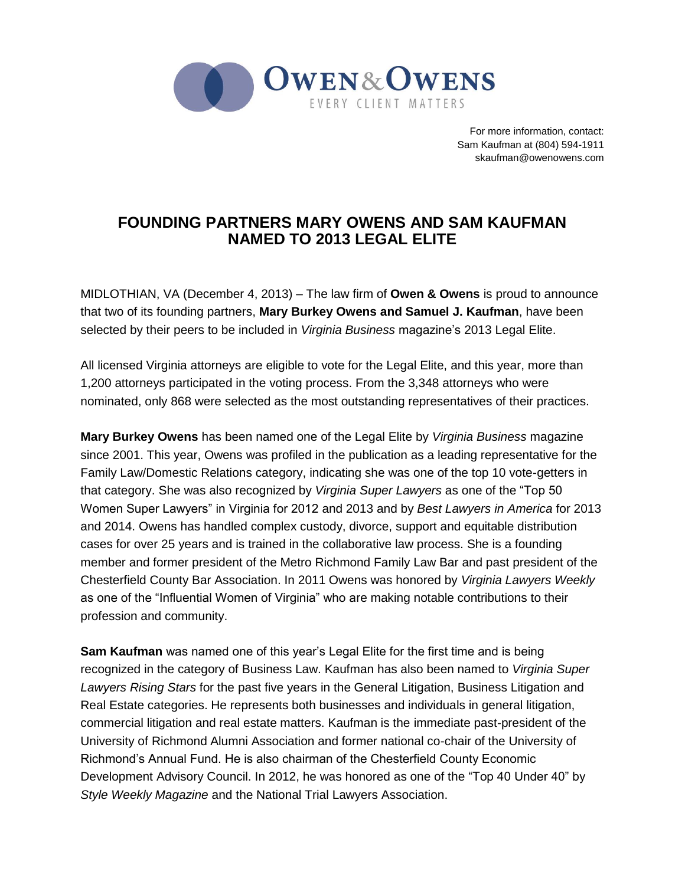

For more information, contact: Sam Kaufman at (804) 594-1911 skaufman@owenowens.com

## **FOUNDING PARTNERS MARY OWENS AND SAM KAUFMAN NAMED TO 2013 LEGAL ELITE**

MIDLOTHIAN, VA (December 4, 2013) – The law firm of **Owen & Owens** is proud to announce that two of its founding partners, **Mary Burkey Owens and Samuel J. Kaufman**, have been selected by their peers to be included in *Virginia Business* magazine's 2013 Legal Elite.

All licensed Virginia attorneys are eligible to vote for the Legal Elite, and this year, more than 1,200 attorneys participated in the voting process. From the 3,348 attorneys who were nominated, only 868 were selected as the most outstanding representatives of their practices.

**Mary Burkey Owens** has been named one of the Legal Elite by *Virginia Business* magazine since 2001. This year, Owens was profiled in the publication as a leading representative for the Family Law/Domestic Relations category, indicating she was one of the top 10 vote-getters in that category. She was also recognized by *Virginia Super Lawyers* as one of the "Top 50 Women Super Lawyers" in Virginia for 2012 and 2013 and by *Best Lawyers in America* for 2013 and 2014. Owens has handled complex custody, divorce, support and equitable distribution cases for over 25 years and is trained in the collaborative law process. She is a founding member and former president of the Metro Richmond Family Law Bar and past president of the Chesterfield County Bar Association. In 2011 Owens was honored by *Virginia Lawyers Weekly* as one of the "Influential Women of Virginia" who are making notable contributions to their profession and community.

**Sam Kaufman** was named one of this year's Legal Elite for the first time and is being recognized in the category of Business Law. Kaufman has also been named to *Virginia Super Lawyers Rising Stars* for the past five years in the General Litigation, Business Litigation and Real Estate categories. He represents both businesses and individuals in general litigation, commercial litigation and real estate matters. Kaufman is the immediate past-president of the University of Richmond Alumni Association and former national co-chair of the University of Richmond's Annual Fund. He is also chairman of the Chesterfield County Economic Development Advisory Council. In 2012, he was honored as one of the "Top 40 Under 40" by *Style Weekly Magazine* and the National Trial Lawyers Association.